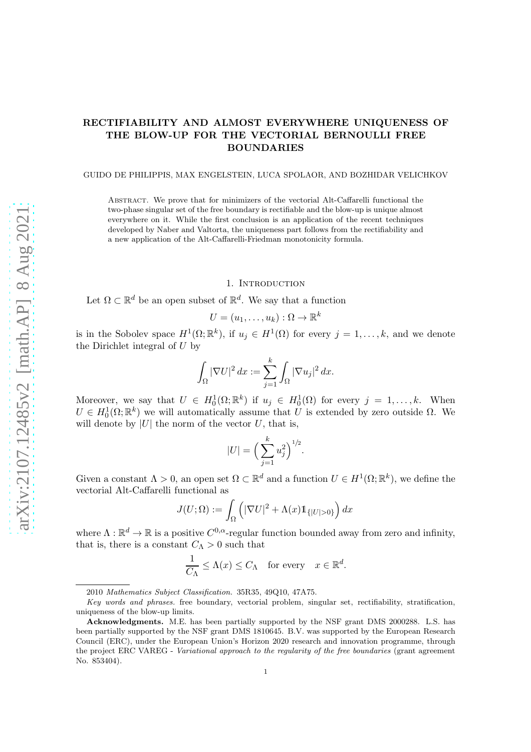# RECTIFIABILITY AND ALMOST EVERYWHERE UNIQUENESS OF THE BLOW-UP FOR THE VECTORIAL BERNOULLI FREE BOUNDARIES

### GUIDO DE PHILIPPIS, MAX ENGELSTEIN, LUCA SPOLAOR, AND BOZHIDAR VELICHKOV

Abstract. We prove that for minimizers of the vectorial Alt-Caffarelli functional the two-phase singular set of the free boundary is rectifiable and the blow-up is unique almost everywhere on it. While the first conclusion is an application of the recent techniques developed by Naber and Valtorta, the uniqueness part follows from the rectifiability and a new application of the Alt-Caffarelli-Friedman monotonicity formula.

## 1. INTRODUCTION

Let  $\Omega \subset \mathbb{R}^d$  be an open subset of  $\mathbb{R}^d$ . We say that a function

$$
U = (u_1, \ldots, u_k) : \Omega \to \mathbb{R}^k
$$

is in the Sobolev space  $H^1(\Omega;\mathbb{R}^k)$ , if  $u_j \in H^1(\Omega)$  for every  $j = 1, \ldots, k$ , and we denote the Dirichlet integral of  $U$  by

$$
\int_{\Omega} |\nabla U|^2 dx := \sum_{j=1}^k \int_{\Omega} |\nabla u_j|^2 dx.
$$

Moreover, we say that  $U \in H_0^1(\Omega; \mathbb{R}^k)$  if  $u_j \in H_0^1(\Omega)$  for every  $j = 1, ..., k$ . When  $U \in H_0^1(\Omega;\mathbb{R}^k)$  we will automatically assume that U is extended by zero outside  $\Omega$ . We will denote by  $|U|$  the norm of the vector U, that is,

$$
|U| = \Big(\sum_{j=1}^{k} u_j^2\Big)^{1/2}.
$$

Given a constant  $\Lambda > 0$ , an open set  $\Omega \subset \mathbb{R}^d$  and a function  $U \in H^1(\Omega; \mathbb{R}^k)$ , we define the vectorial Alt-Caffarelli functional as

$$
J(U; \Omega) := \int_{\Omega} \left( |\nabla U|^2 + \Lambda(x) \mathbb{1}_{\{|U| > 0\}} \right) dx
$$

where  $\Lambda : \mathbb{R}^d \to \mathbb{R}$  is a positive  $C^{0,\alpha}$ -regular function bounded away from zero and infinity, that is, there is a constant  $C_\Lambda > 0$  such that

$$
\frac{1}{C_{\Lambda}} \leq \Lambda(x) \leq C_{\Lambda} \quad \text{for every} \quad x \in \mathbb{R}^d.
$$

<sup>2010</sup> *Mathematics Subject Classification.* 35R35, 49Q10, 47A75.

*Key words and phrases.* free boundary, vectorial problem, singular set, rectifiability, stratification, uniqueness of the blow-up limits.

Acknowledgments. M.E. has been partially supported by the NSF grant DMS 2000288. L.S. has been partially supported by the NSF grant DMS 1810645. B.V. was supported by the European Research Council (ERC), under the European Union's Horizon 2020 research and innovation programme, through the project ERC VAREG - *Variational approach to the regularity of the free boundaries* (grant agreement No. 853404).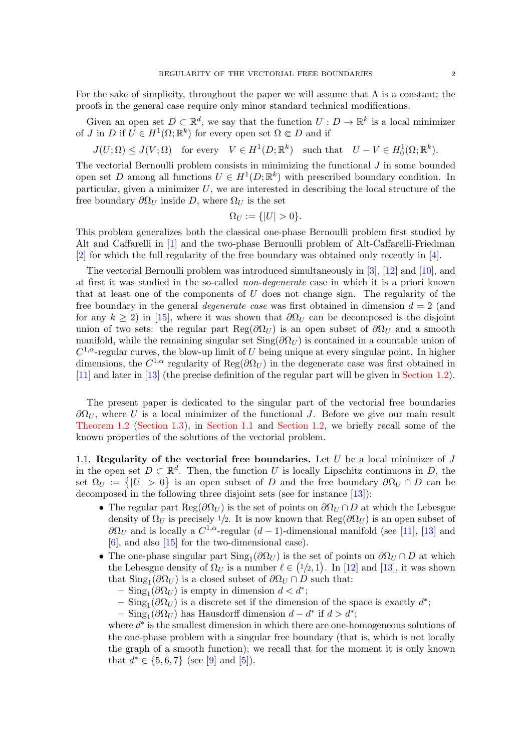For the sake of simplicity, throughout the paper we will assume that  $\Lambda$  is a constant; the proofs in the general case require only minor standard technical modifications.

Given an open set  $D \subset \mathbb{R}^d$ , we say that the function  $U : D \to \mathbb{R}^k$  is a local minimizer of *J* in *D* if  $U \in H^1(\Omega; \mathbb{R}^k)$  for every open set  $\Omega \in D$  and if

 $J(U; \Omega) \leq J(V; \Omega)$  for every  $V \in H^1(D; \mathbb{R}^k)$  such that  $U - V \in H_0^1(\Omega; \mathbb{R}^k)$ .

The vectorial Bernoulli problem consists in minimizing the functional  $J$  in some bounded open set D among all functions  $U \in H^1(D; \mathbb{R}^k)$  with prescribed boundary condition. In particular, given a minimizer  $U$ , we are interested in describing the local structure of the free boundary  $\partial \Omega_U$  inside D, where  $\Omega_U$  is the set

$$
\Omega_U := \{ |U| > 0 \}.
$$

This problem generalizes both the classical one-phase Bernoulli problem first studied by Alt and Caffarelli in [\[1\]](#page-8-0) and the two-phase Bernoulli problem of Alt-Caffarelli-Friedman [\[2\]](#page-8-1) for which the full regularity of the free boundary was obtained only recently in [\[4\]](#page-8-2).

The vectorial Bernoulli problem was introduced simultaneously in [\[3\]](#page-8-3), [\[12\]](#page-8-4) and [\[10\]](#page-8-5), and at first it was studied in the so-called non-degenerate case in which it is a priori known that at least one of the components of  $U$  does not change sign. The regularity of the free boundary in the general *degenerate case* was first obtained in dimension  $d = 2$  (and for any  $k \ge 2$ ) in [\[15\]](#page-8-6), where it was shown that  $\partial \Omega_U$  can be decomposed is the disjoint union of two sets: the regular part Reg( $\partial \Omega_U$ ) is an open subset of  $\partial \Omega_U$  and a smooth manifold, while the remaining singular set  $\text{Sing}(\partial \Omega_U)$  is contained in a countable union of  $C^{1,\alpha}$ -regular curves, the blow-up limit of U being unique at every singular point. In higher dimensions, the  $C^{1,\alpha}$  regularity of  $\text{Reg}(\partial \Omega_U)$  in the degenerate case was first obtained in [\[11\]](#page-8-7) and later in [\[13\]](#page-8-8) (the precise definition of the regular part will be given in [Section 1.2\)](#page-2-0).

The present paper is dedicated to the singular part of the vectorial free boundaries  $\partial \Omega_U$ , where U is a local minimizer of the functional J. Before we give our main result [Theorem 1.2](#page-2-1) [\(Section 1.3\)](#page-2-2), in [Section 1.1](#page-1-0) and [Section 1.2,](#page-2-0) we briefly recall some of the known properties of the solutions of the vectorial problem.

<span id="page-1-0"></span>1.1. Regularity of the vectorial free boundaries. Let  $U$  be a local minimizer of  $J$ in the open set  $D \subset \mathbb{R}^d$ . Then, the function U is locally Lipschitz continuous in D, the set  $\Omega_U := \{ |U| > 0 \}$  is an open subset of D and the free boundary  $\partial \Omega_U \cap D$  can be decomposed in the following three disjoint sets (see for instance [\[13\]](#page-8-8)):

- The regular part Reg( $\partial\Omega_U$ ) is the set of points on  $\partial\Omega_U \cap D$  at which the Lebesgue density of  $\Omega_U$  is precisely 1/2. It is now known that  $\text{Reg}(\partial \Omega_U)$  is an open subset of  $\partial \Omega_U$  and is locally a  $C^{1,\alpha}$ -regular  $(d-1)$ -dimensional manifold (see [\[11\]](#page-8-7), [\[13\]](#page-8-8) and  $[6]$ , and also  $[15]$  for the two-dimensional case).
- The one-phase singular part  $\text{Sing}_1(\partial \Omega_U)$  is the set of points on  $\partial \Omega_U \cap D$  at which the Lebesgue density of  $\Omega_U$  is a number  $\ell \in (1/2, 1)$ . In [\[12\]](#page-8-4) and [\[13\]](#page-8-8), it was shown that  $\text{Sing}_1(\partial \Omega_U)$  is a closed subset of  $\partial \Omega_U \cap D$  such that:
	- $-$  Sing<sub>1</sub>( $\partial \Omega_U$ ) is empty in dimension  $d < d^*$ ;
	- $-$  Sing<sub>1</sub>( $\partial\Omega_U$ ) is a discrete set if the dimension of the space is exactly  $d^*$ ;

– Sing<sub>1</sub>( $\partial$ Ω<sub>*U*</sub>) has Hausdorff dimension  $d - d^*$  if  $d > d^*$ ;

where  $d^*$  is the smallest dimension in which there are one-homogeneous solutions of the one-phase problem with a singular free boundary (that is, which is not locally the graph of a smooth function); we recall that for the moment it is only known that  $d^* \in \{5, 6, 7\}$  (see [\[9\]](#page-8-10) and [\[5\]](#page-8-11)).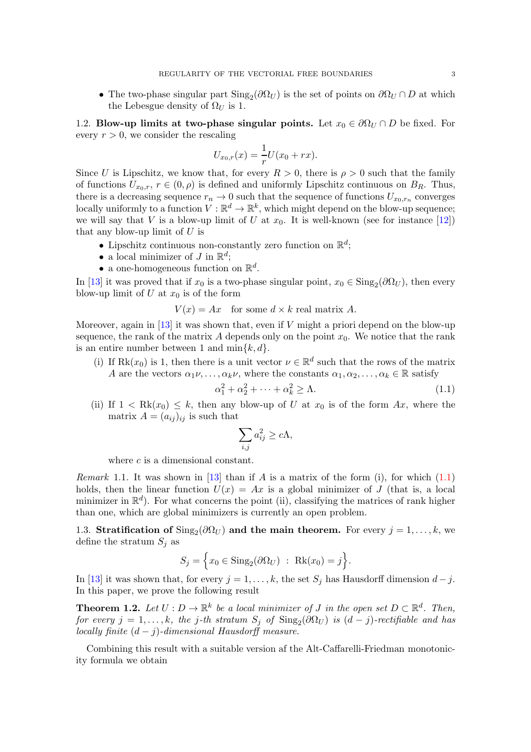• The two-phase singular part  $\text{Sing}_2(\partial \Omega_U)$  is the set of points on  $\partial \Omega_U \cap D$  at which the Lebesgue density of  $\Omega_U$  is 1.

<span id="page-2-0"></span>1.2. Blow-up limits at two-phase singular points. Let  $x_0 \in \partial \Omega_U \cap D$  be fixed. For every  $r > 0$ , we consider the rescaling

$$
U_{x_0,r}(x) = \frac{1}{r}U(x_0 + rx).
$$

Since U is Lipschitz, we know that, for every  $R > 0$ , there is  $\rho > 0$  such that the family of functions  $U_{x_0,r}$ ,  $r \in (0,\rho)$  is defined and uniformly Lipschitz continuous on  $B_R$ . Thus, there is a decreasing sequence  $r_n \to 0$  such that the sequence of functions  $U_{x_0,r_n}$  converges locally uniformly to a function  $V: \mathbb{R}^d \to \mathbb{R}^k$ , which might depend on the blow-up sequence; we will say that V is a blow-up limit of U at  $x_0$ . It is well-known (see for instance [\[12\]](#page-8-4)) that any blow-up limit of  $U$  is

- Lipschitz continuous non-constantly zero function on  $\mathbb{R}^d$ ;
- a local minimizer of  $J$  in  $\mathbb{R}^d$ ;
- a one-homogeneous function on  $\mathbb{R}^d$ .

In [\[13\]](#page-8-8) it was proved that if  $x_0$  is a two-phase singular point,  $x_0 \in Sing_2(\partial \Omega_U)$ , then every blow-up limit of U at  $x_0$  is of the form

 $V(x) = Ax$  for some  $d \times k$  real matrix A.

Moreover, again in [\[13\]](#page-8-8) it was shown that, even if  $V$  might a priori depend on the blow-up sequence, the rank of the matrix A depends only on the point  $x_0$ . We notice that the rank is an entire number between 1 and  $\min\{k, d\}.$ 

(i) If  $Rk(x_0)$  is 1, then there is a unit vector  $\nu \in \mathbb{R}^d$  such that the rows of the matrix A are the vectors  $\alpha_1\nu, \ldots, \alpha_k\nu$ , where the constants  $\alpha_1, \alpha_2, \ldots, \alpha_k \in \mathbb{R}$  satisfy

<span id="page-2-3"></span>
$$
\alpha_1^2 + \alpha_2^2 + \dots + \alpha_k^2 \ge \Lambda. \tag{1.1}
$$

(ii) If  $1 < Rk(x_0) \leq k$ , then any blow-up of U at  $x_0$  is of the form Ax, where the matrix  $A = (a_{ij})_{ij}$  is such that

$$
\sum_{i,j} a_{ij}^2 \ge c\Lambda,
$$

where c is a dimensional constant.

*Remark* 1.1. It was shown in [\[13\]](#page-8-8) than if A is a matrix of the form (i), for which  $(1.1)$ holds, then the linear function  $U(x) = Ax$  is a global minimizer of J (that is, a local minimizer in  $\mathbb{R}^d$ ). For what concerns the point (ii), classifying the matrices of rank higher than one, which are global minimizers is currently an open problem.

<span id="page-2-2"></span>1.3. Stratification of  $\text{Sing}_2(\partial \Omega_U)$  and the main theorem. For every  $j = 1, ..., k$ , we define the stratum  $S_i$  as

$$
S_j = \Big\{ x_0 \in \text{Sing}_2(\partial \Omega_U) : \text{Rk}(x_0) = j \Big\}.
$$

<span id="page-2-1"></span>In [\[13\]](#page-8-8) it was shown that, for every  $j = 1, \ldots, k$ , the set  $S_j$  has Hausdorff dimension  $d - j$ . In this paper, we prove the following result

**Theorem 1.2.** Let  $U: D \to \mathbb{R}^k$  be a local minimizer of J in the open set  $D \subset \mathbb{R}^d$ . Then, for every  $j = 1, ..., k$ , the j-th stratum  $S_j$  of  $\text{Sing}_2(\partial \Omega_U)$  is  $(d-j)$ -rectifiable and has locally finite  $(d - i)$ -dimensional Hausdorff measure.

<span id="page-2-4"></span>Combining this result with a suitable version af the Alt-Caffarelli-Friedman monotonicity formula we obtain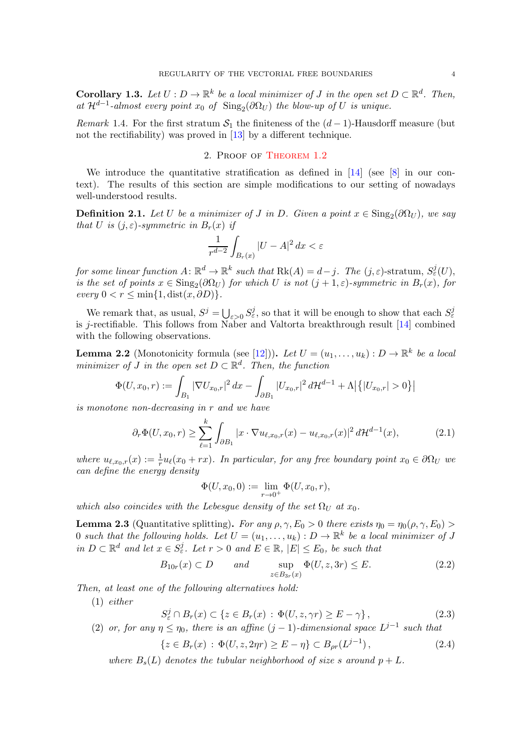**Corollary 1.3.** Let  $U: D \to \mathbb{R}^k$  be a local minimizer of J in the open set  $D \subset \mathbb{R}^d$ . Then, at  $\mathcal{H}^{d-1}$ -almost every point  $x_0$  of  $\text{Sing}_2(\partial \Omega_U)$  the blow-up of U is unique.

Remark 1.4. For the first stratum  $S_1$  the finiteness of the  $(d-1)$ -Hausdorff measure (but not the rectifiability) was proved in [\[13\]](#page-8-8) by a different technique.

### 2. Proof of [Theorem 1.2](#page-2-1)

We introduce the quantitative stratification as defined in  $[14]$  (see  $[8]$  in our context). The results of this section are simple modifications to our setting of nowadays well-understood results.

**Definition 2.1.** Let U be a minimizer of J in D. Given a point  $x \in \text{Sing}_2(\partial \Omega_U)$ , we say that U is  $(j, \varepsilon)$ -symmetric in  $B_r(x)$  if

$$
\frac{1}{r^{d-2}}\int_{B_r(x)}|U-A|^2\,dx<\varepsilon
$$

for some linear function  $A: \mathbb{R}^d \to \mathbb{R}^k$  such that  $Rk(A) = d-j$ . The  $(j, \varepsilon)$ -stratum,  $S^j_{\varepsilon}(U)$ , is the set of points  $x \in Sing_2(\partial \Omega_U)$  for which U is not  $(j+1, \varepsilon)$ -symmetric in  $B_r(x)$ , for  $every\ 0 < r \leq \min\{1, dist(x, \partial D)\}.$ 

We remark that, as usual,  $S^j = \bigcup_{\varepsilon > 0} S^j_{\varepsilon}$ , so that it will be enough to show that each  $S^j_{\varepsilon}$ is j-rectifiable. This follows from Naber and Valtorta breakthrough result [\[14\]](#page-8-12) combined with the following observations.

<span id="page-3-1"></span>**Lemma 2.2** (Monotonicity formula (see [\[12\]](#page-8-4))). Let  $U = (u_1, \ldots, u_k) : D \to \mathbb{R}^k$  be a local minimizer of J in the open set  $D \subset \mathbb{R}^d$ . Then, the function

$$
\Phi(U, x_0, r) := \int_{B_1} |\nabla U_{x_0, r}|^2 dx - \int_{\partial B_1} |U_{x_0, r}|^2 d\mathcal{H}^{d-1} + \Lambda \big| \big\{ |U_{x_0, r}| > 0 \big\} \big|
$$

is monotone non-decreasing in r and we have

<span id="page-3-2"></span>
$$
\partial_r \Phi(U, x_0, r) \ge \sum_{\ell=1}^k \int_{\partial B_1} |x \cdot \nabla u_{\ell, x_0, r}(x) - u_{\ell, x_0, r}(x)|^2 d\mathcal{H}^{d-1}(x), \tag{2.1}
$$

where  $u_{\ell,x_0,r}(x) := \frac{1}{r}u_{\ell}(x_0 + rx)$ . In particular, for any free boundary point  $x_0 \in \partial \Omega_U$  we can define the energy density

$$
\Phi(U, x_0, 0) := \lim_{r \to 0^+} \Phi(U, x_0, r),
$$

<span id="page-3-3"></span>which also coincides with the Lebesgue density of the set  $\Omega_U$  at  $x_0$ .

**Lemma 2.3** (Quantitative splitting). For any  $\rho, \gamma, E_0 > 0$  there exists  $\eta_0 = \eta_0(\rho, \gamma, E_0)$ 0 such that the following holds. Let  $U = (u_1, \ldots, u_k) : D \to \mathbb{R}^k$  be a local minimizer of J in  $D \subset \mathbb{R}^d$  and let  $x \in S^j_{\varepsilon}$ . Let  $r > 0$  and  $E \in \mathbb{R}$ ,  $|E| \le E_0$ , be such that

<span id="page-3-0"></span>
$$
B_{10r}(x) \subset D \qquad and \qquad \sup_{z \in B_{3r}(x)} \Phi(U, z, 3r) \le E. \tag{2.2}
$$

Then, at least one of the following alternatives hold:

(1) either

$$
S_{\varepsilon}^{j} \cap B_{r}(x) \subset \{ z \in B_{r}(x) : \Phi(U, z, \gamma r) \ge E - \gamma \}, \tag{2.3}
$$

(2) or, for any  $\eta \leq \eta_0$ , there is an affine  $(j-1)$ -dimensional space  $L^{j-1}$  such that

$$
\{z \in B_r(x) : \Phi(U, z, 2\eta r) \ge E - \eta\} \subset B_{\rho r}(L^{j-1}),\tag{2.4}
$$

where  $B_s(L)$  denotes the tubular neighborhood of size s around  $p + L$ .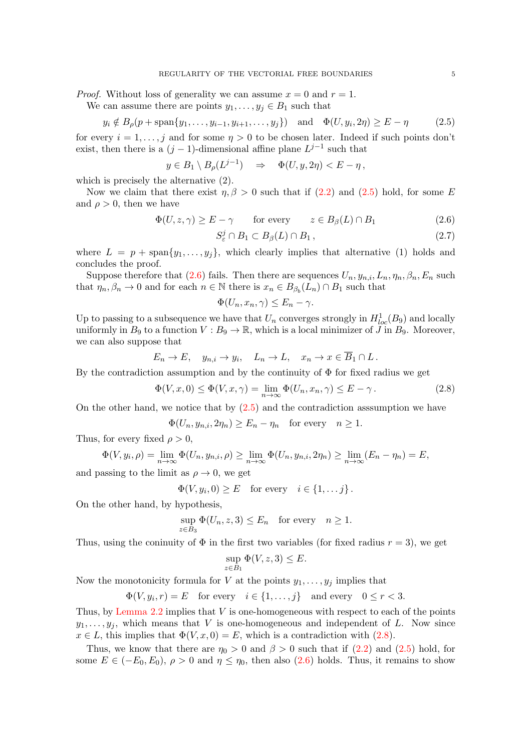*Proof.* Without loss of generality we can assume  $x = 0$  and  $r = 1$ .

We can assume there are points  $y_1, \ldots, y_j \in B_1$  such that

<span id="page-4-0"></span>
$$
y_i \notin B_\rho(p + \text{span}\{y_1, \ldots, y_{i-1}, y_{i+1}, \ldots, y_j\})
$$
 and  $\Phi(U, y_i, 2\eta) \ge E - \eta$  (2.5)

for every  $i = 1, \ldots, j$  and for some  $\eta > 0$  to be chosen later. Indeed if such points don't exist, then there is a  $(j-1)$ -dimensional affine plane  $L^{j-1}$  such that

$$
y \in B_1 \setminus B_\rho(L^{j-1}) \Rightarrow \Phi(U, y, 2\eta) < E - \eta
$$
,

which is precisely the alternative (2).

Now we claim that there exist  $\eta$ ,  $\beta > 0$  such that if [\(2.2\)](#page-3-0) and [\(2.5\)](#page-4-0) hold, for some E and  $\rho > 0$ , then we have

$$
\Phi(U, z, \gamma) \ge E - \gamma \qquad \text{for every} \qquad z \in B_{\beta}(L) \cap B_1 \tag{2.6}
$$

<span id="page-4-3"></span><span id="page-4-1"></span>
$$
S_{\varepsilon}^{j} \cap B_{1} \subset B_{\beta}(L) \cap B_{1}, \qquad (2.7)
$$

where  $L = p + \text{span}\{y_1, \ldots, y_j\}$ , which clearly implies that alternative (1) holds and concludes the proof.

Suppose therefore that [\(2.6\)](#page-4-1) fails. Then there are sequences  $U_n, y_{n,i}, L_n, \eta_n, \beta_n, E_n$  such that  $\eta_n, \beta_n \to 0$  and for each  $n \in \mathbb{N}$  there is  $x_n \in B_{\beta_b}(L_n) \cap B_1$  such that

$$
\Phi(U_n, x_n, \gamma) \le E_n - \gamma.
$$

Up to passing to a subsequence we have that  $U_n$  converges strongly in  $H^1_{loc}(B_9)$  and locally uniformly in  $B_9$  to a function  $V : B_9 \to \mathbb{R}$ , which is a local minimizer of  $\overline{J}$  in  $B_9$ . Moreover, we can also suppose that

$$
E_n \to E, \quad y_{n,i} \to y_i, \quad L_n \to L, \quad x_n \to x \in \overline{B}_1 \cap L.
$$

By the contradiction assumption and by the continuity of  $\Phi$  for fixed radius we get

<span id="page-4-2"></span>
$$
\Phi(V, x, 0) \le \Phi(V, x, \gamma) = \lim_{n \to \infty} \Phi(U_n, x_n, \gamma) \le E - \gamma.
$$
\n(2.8)

On the other hand, we notice that by  $(2.5)$  and the contradiction assumption we have

$$
\Phi(U_n, y_{n,i}, 2\eta_n) \ge E_n - \eta_n \quad \text{for every} \quad n \ge 1.
$$

Thus, for every fixed  $\rho > 0$ ,

$$
\Phi(V, y_i, \rho) = \lim_{n \to \infty} \Phi(U_n, y_{n,i}, \rho) \ge \lim_{n \to \infty} \Phi(U_n, y_{n,i}, 2\eta_n) \ge \lim_{n \to \infty} (E_n - \eta_n) = E,
$$

and passing to the limit as  $\rho \to 0$ , we get

 $\Phi(V, y_i, 0) \ge E$  for every  $i \in \{1, \dots j\}$ .

On the other hand, by hypothesis,

$$
\sup_{z \in B_3} \Phi(U_n, z, 3) \le E_n \quad \text{for every} \quad n \ge 1.
$$

Thus, using the coninuity of  $\Phi$  in the first two variables (for fixed radius  $r = 3$ ), we get

$$
\sup_{z \in B_1} \Phi(V, z, 3) \le E.
$$

Now the monotonicity formula for V at the points  $y_1, \ldots, y_j$  implies that

$$
\Phi(V, y_i, r) = E \quad \text{for every} \quad i \in \{1, \dots, j\} \quad \text{and every} \quad 0 \le r < 3.
$$

Thus, by Lemma  $2.2$  implies that V is one-homogeneous with respect to each of the points  $y_1, \ldots, y_i$ , which means that V is one-homogeneous and independent of L. Now since  $x \in L$ , this implies that  $\Phi(V, x, 0) = E$ , which is a contradiction with [\(2.8\)](#page-4-2).

Thus, we know that there are  $\eta_0 > 0$  and  $\beta > 0$  such that if  $(2.2)$  and  $(2.5)$  hold, for some  $E \in (-E_0, E_0)$ ,  $\rho > 0$  and  $\eta \leq \eta_0$ , then also [\(2.6\)](#page-4-1) holds. Thus, it remains to show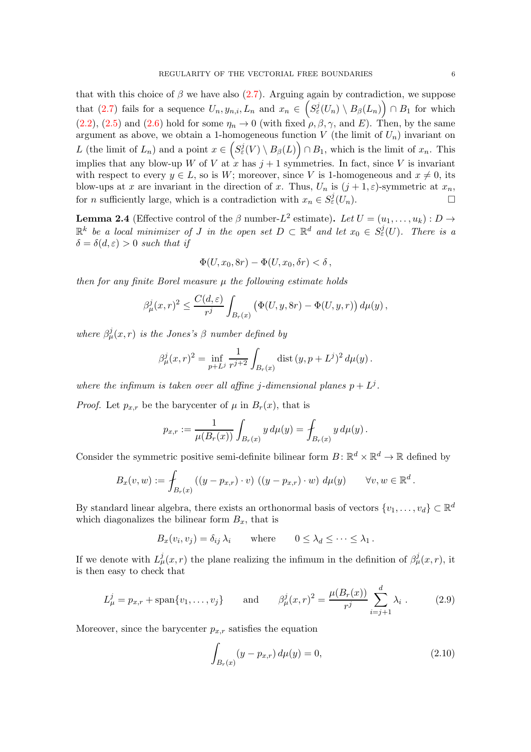that with this choice of  $\beta$  we have also [\(2.7\)](#page-4-3). Arguing again by contradiction, we suppose that [\(2.7\)](#page-4-3) fails for a sequence  $U_n, y_{n,i}, L_n$  and  $x_n \in (S^j_{\varepsilon}(U_n) \setminus B_{\beta}(L_n)) \cap B_1$  for which  $(2.2)$ ,  $(2.5)$  and  $(2.6)$  hold for some  $\eta_n \to 0$  (with fixed  $\rho$ ,  $\beta$ ,  $\gamma$ , and E). Then, by the same argument as above, we obtain a 1-homogeneous function V (the limit of  $U_n$ ) invariant on L (the limit of  $L_n$ ) and a point  $x \in (S^j_\varepsilon(V) \setminus B_\beta(L)) \cap B_1$ , which is the limit of  $x_n$ . This implies that any blow-up W of V at  $x \text{ has } j+1$  symmetries. In fact, since V is invariant with respect to every  $y \in L$ , so is W; moreover, since V is 1-homogeneous and  $x \neq 0$ , its blow-ups at x are invariant in the direction of x. Thus,  $U_n$  is  $(j + 1, \varepsilon)$ -symmetric at  $x_n$ , for *n* sufficiently large, which is a contradiction with  $x_n \in S^j_{\varepsilon}(U_n)$ .

<span id="page-5-2"></span>**Lemma 2.4** (Effective control of the  $\beta$  number- $L^2$  estimate). Let  $U = (u_1, \ldots, u_k) : D \to$  $\mathbb{R}^k$  be a local minimizer of J in the open set  $D \subset \mathbb{R}^d$  and let  $x_0 \in S^j_{\varepsilon}(U)$ . There is a  $\delta = \delta(d, \varepsilon) > 0$  such that if

$$
\Phi(U, x_0, 8r) - \Phi(U, x_0, \delta r) < \delta \,,
$$

then for any finite Borel measure  $\mu$  the following estimate holds

$$
\beta_{\mu}^{j}(x,r)^{2} \leq \frac{C(d,\varepsilon)}{r^{j}} \int_{B_{r}(x)} \left( \Phi(U,y,8r) - \Phi(U,y,r) \right) d\mu(y),
$$

where  $\beta_{\mu}^{j}(x,r)$  is the Jones's  $\beta$  number defined by

$$
\beta_{\mu}^{j}(x,r)^{2} = \inf_{p+L^{j}} \frac{1}{r^{j+2}} \int_{B_{r}(x)} \text{dist}\,(y,p+L^{j})^{2} \, d\mu(y) \, .
$$

where the infimum is taken over all affine j-dimensional planes  $p + L<sup>j</sup>$ .

*Proof.* Let  $p_{x,r}$  be the barycenter of  $\mu$  in  $B_r(x)$ , that is

$$
p_{x,r} := \frac{1}{\mu(B_r(x))} \int_{B_r(x)} y \, d\mu(y) = \int_{B_r(x)} y \, d\mu(y).
$$

Consider the symmetric positive semi-definite bilinear form  $B \colon \mathbb{R}^d \times \mathbb{R}^d \to \mathbb{R}$  defined by

$$
B_x(v, w) := \int_{B_r(x)} \left( (y - p_{x,r}) \cdot v \right) \left( (y - p_{x,r}) \cdot w \right) d\mu(y) \qquad \forall v, w \in \mathbb{R}^d
$$

By standard linear algebra, there exists an orthonormal basis of vectors  $\{v_1, \ldots, v_d\} \subset \mathbb{R}^d$ which diagonalizes the bilinear form  $B_x$ , that is

$$
B_x(v_i, v_j) = \delta_{ij} \lambda_i \quad \text{where} \quad 0 \le \lambda_d \le \cdots \le \lambda_1.
$$

If we denote with  $L^j_\mu(x,r)$  the plane realizing the infimum in the definition of  $\beta^j_\mu(x,r)$ , it is then easy to check that

<span id="page-5-1"></span>
$$
L^j_{\mu} = p_{x,r} + \text{span}\{v_1, \dots, v_j\} \quad \text{and} \quad \beta^j_{\mu}(x,r)^2 = \frac{\mu(B_r(x))}{r^j} \sum_{i=j+1}^d \lambda_i \,. \tag{2.9}
$$

Moreover, since the barycenter  $p_{x,r}$  satisfies the equation

<span id="page-5-0"></span>
$$
\int_{B_r(x)} (y - p_{x,r}) \, d\mu(y) = 0,\tag{2.10}
$$

.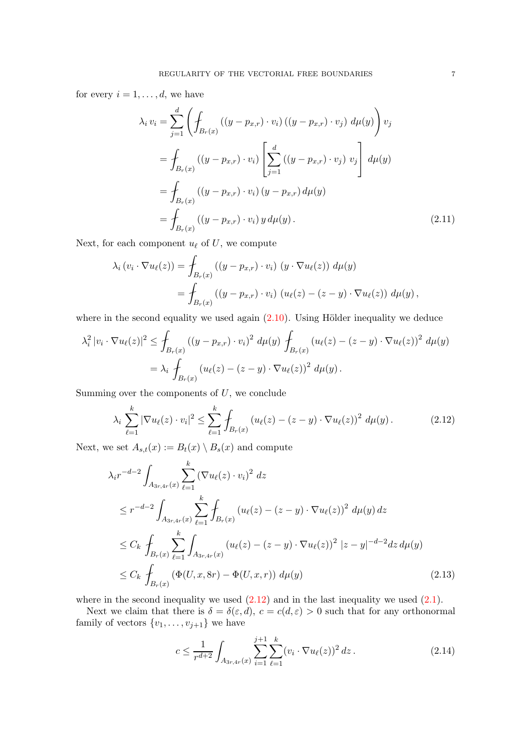for every  $i = 1, \ldots, d$ , we have

$$
\lambda_i v_i = \sum_{j=1}^d \left( \oint_{B_r(x)} ((y - p_{x,r}) \cdot v_i) ((y - p_{x,r}) \cdot v_j) d\mu(y) \right) v_j
$$
  
= 
$$
\oint_{B_r(x)} ((y - p_{x,r}) \cdot v_i) \left[ \sum_{j=1}^d ((y - p_{x,r}) \cdot v_j) v_j \right] d\mu(y)
$$
  
= 
$$
\oint_{B_r(x)} ((y - p_{x,r}) \cdot v_i) (y - p_{x,r}) d\mu(y)
$$
  
= 
$$
\oint_{B_r(x)} ((y - p_{x,r}) \cdot v_i) y d\mu(y).
$$
 (2.11)

Next, for each component  $u_{\ell}$  of  $U$ , we compute

$$
\lambda_i \left( v_i \cdot \nabla u_\ell(z) \right) = \int_{B_r(x)} \left( \left( y - p_{x,r} \right) \cdot v_i \right) \left( y \cdot \nabla u_\ell(z) \right) d\mu(y)
$$

$$
= \int_{B_r(x)} \left( \left( y - p_{x,r} \right) \cdot v_i \right) \left( u_\ell(z) - (z - y) \cdot \nabla u_\ell(z) \right) d\mu(y),
$$

where in the second equality we used again  $(2.10)$ . Using Hölder inequality we deduce

$$
\lambda_i^2 |v_i \cdot \nabla u_\ell(z)|^2 \le \int_{B_r(x)} ((y - p_{x,r}) \cdot v_i)^2 d\mu(y) \int_{B_r(x)} (u_\ell(z) - (z - y) \cdot \nabla u_\ell(z))^2 d\mu(y)
$$
  
=  $\lambda_i \int_{B_r(x)} (u_\ell(z) - (z - y) \cdot \nabla u_\ell(z))^2 d\mu(y).$ 

Summing over the components of  $U$ , we conclude

<span id="page-6-0"></span>
$$
\lambda_i \sum_{\ell=1}^k |\nabla u_\ell(z) \cdot v_i|^2 \le \sum_{\ell=1}^k \int_{B_r(x)} \left( u_\ell(z) - (z - y) \cdot \nabla u_\ell(z) \right)^2 d\mu(y). \tag{2.12}
$$

Next, we set  $A_{s,t}(x) := B_t(x) \setminus B_s(x)$  and compute

$$
\lambda_i r^{-d-2} \int_{A_{3r,4r}(x)} \sum_{\ell=1}^k (\nabla u_\ell(z) \cdot v_i)^2 dz
$$
  
\n
$$
\leq r^{-d-2} \int_{A_{3r,4r}(x)} \sum_{\ell=1}^k \int_{B_r(x)} (u_\ell(z) - (z - y) \cdot \nabla u_\ell(z))^2 d\mu(y) dz
$$
  
\n
$$
\leq C_k \int_{B_r(x)} \sum_{\ell=1}^k \int_{A_{3r,4r}(x)} (u_\ell(z) - (z - y) \cdot \nabla u_\ell(z))^2 |z - y|^{-d-2} dz d\mu(y)
$$
  
\n
$$
\leq C_k \int_{B_r(x)} (\Phi(U, x, 8r) - \Phi(U, x, r)) d\mu(y)
$$
\n(2.13)

where in the second inequality we used  $(2.12)$  and in the last inequality we used  $(2.1)$ .

Next we claim that there is  $\delta = \delta(\varepsilon, d)$ ,  $c = c(d, \varepsilon) > 0$  such that for any orthonormal family of vectors  $\{v_1, \ldots, v_{j+1}\}$  we have

<span id="page-6-1"></span>
$$
c \le \frac{1}{r^{d+2}} \int_{A_{3r,4r}(x)} \sum_{i=1}^{j+1} \sum_{\ell=1}^k (v_i \cdot \nabla u_\ell(z))^2 \, dz \,. \tag{2.14}
$$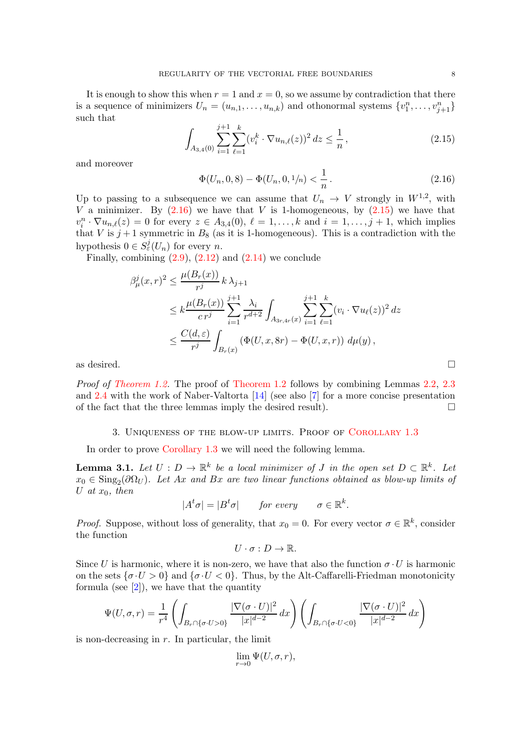It is enough to show this when  $r = 1$  and  $x = 0$ , so we assume by contradiction that there is a sequence of minimizers  $U_n = (u_{n,1}, \ldots, u_{n,k})$  and othonormal systems  $\{v_1^n, \ldots, v_{j+1}^n\}$ such that

<span id="page-7-1"></span>
$$
\int_{A_{3,4}(0)} \sum_{i=1}^{j+1} \sum_{\ell=1}^k (v_i^k \cdot \nabla u_{n,\ell}(z))^2 dz \le \frac{1}{n},\tag{2.15}
$$

and moreover

<span id="page-7-0"></span>
$$
\Phi(U_n, 0, 8) - \Phi(U_n, 0, 1/n) < \frac{1}{n} \,. \tag{2.16}
$$

Up to passing to a subsequence we can assume that  $U_n \to V$  strongly in  $W^{1,2}$ , with V a minimizer. By  $(2.16)$  we have that V is 1-homogeneous, by  $(2.15)$  we have that  $v_i^n \cdot \nabla u_{n,\ell}(z) = 0$  for every  $z \in A_{3,4}(0), \ell = 1,\ldots,k$  and  $i = 1,\ldots,j+1$ , which implies that V is  $j+1$  symmetric in  $B_8$  (as it is 1-homogeneous). This is a contradiction with the hypothesis  $0 \in S^j_{\varepsilon}(U_n)$  for every n.

Finally, combining  $(2.9)$ ,  $(2.12)$  and  $(2.14)$  we conclude

$$
\beta_{\mu}^{j}(x,r)^{2} \leq \frac{\mu(B_{r}(x))}{r^{j}} k \lambda_{j+1}
$$
\n
$$
\leq k \frac{\mu(B_{r}(x))}{c r^{j}} \sum_{i=1}^{j+1} \frac{\lambda_{i}}{r^{d+2}} \int_{A_{3r,4r}(x)} \sum_{i=1}^{j+1} \sum_{\ell=1}^{k} (v_{i} \cdot \nabla u_{\ell}(z))^{2} dz
$$
\n
$$
\leq \frac{C(d,\varepsilon)}{r^{j}} \int_{B_{r}(x)} (\Phi(U,x,8r) - \Phi(U,x,r)) d\mu(y),
$$
\nas desired.

Proof of [Theorem 1.2.](#page-2-1) The proof of [Theorem 1.2](#page-2-1) follows by combining Lemmas [2.2,](#page-3-1) [2.3](#page-3-3) and [2.4](#page-5-2) with the work of Naber-Valtorta [\[14\]](#page-8-12) (see also [\[7\]](#page-8-14) for a more concise presentation of the fact that the three lemmas imply the desired result).  $\Box$ 

### 3. Uniqueness of the blow-up limits. Proof of [Corollary 1.3](#page-2-4)

In order to prove [Corollary 1.3](#page-2-4) we will need the following lemma.

**Lemma 3.1.** Let  $U: D \to \mathbb{R}^k$  be a local minimizer of J in the open set  $D \subset \mathbb{R}^k$ . Let  $x_0 \in \text{Sing}_2(\partial \Omega_U)$ . Let Ax and Bx are two linear functions obtained as blow-up limits of U at  $x_0$ , then

$$
|At\sigma| = |Bt\sigma| \qquad \text{for every} \qquad \sigma \in \mathbb{R}^k.
$$

*Proof.* Suppose, without loss of generality, that  $x_0 = 0$ . For every vector  $\sigma \in \mathbb{R}^k$ , consider the function

$$
U\cdot \sigma: D\to \mathbb{R}.
$$

Since U is harmonic, where it is non-zero, we have that also the function  $\sigma \cdot U$  is harmonic on the sets  $\{\sigma \cdot U > 0\}$  and  $\{\sigma \cdot U < 0\}$ . Thus, by the Alt-Caffarelli-Friedman monotonicity formula (see  $[2]$ ), we have that the quantity

$$
\Psi(U,\sigma,r) = \frac{1}{r^4} \left( \int_{B_r \cap \{\sigma \cdot U > 0\}} \frac{|\nabla (\sigma \cdot U)|^2}{|x|^{d-2}} dx \right) \left( \int_{B_r \cap \{\sigma \cdot U < 0\}} \frac{|\nabla (\sigma \cdot U)|^2}{|x|^{d-2}} dx \right)
$$

is non-decreasing in  $r$ . In particular, the limit

$$
\lim_{r \to 0} \Psi(U, \sigma, r),
$$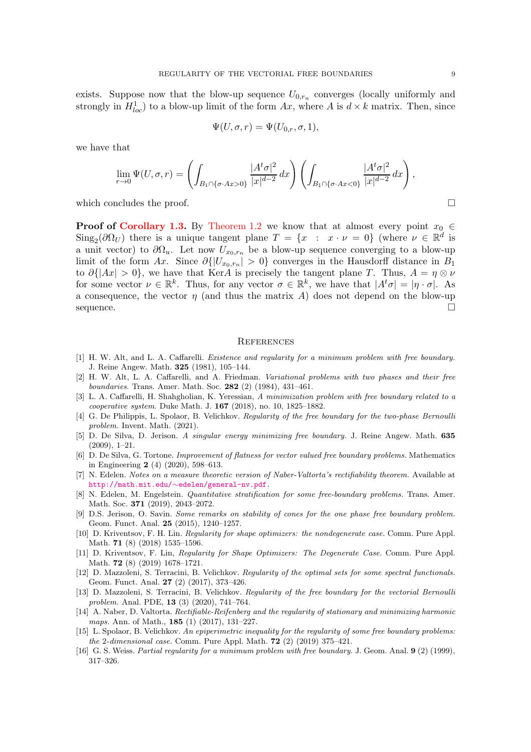exists. Suppose now that the blow-up sequence  $U_{0,r_n}$  converges (locally uniformly and strongly in  $H_{loc}^1$ ) to a blow-up limit of the form  $Ax$ , where A is  $d \times k$  matrix. Then, since

$$
\Psi(U,\sigma,r)=\Psi(U_{0,r},\sigma,1),
$$

we have that

$$
\lim_{r \to 0} \Psi(U, \sigma, r) = \left( \int_{B_1 \cap \{\sigma \cdot Ax > 0\}} \frac{|A^t \sigma|^2}{|x|^{d-2}} dx \right) \left( \int_{B_1 \cap \{\sigma \cdot Ax < 0\}} \frac{|A^t \sigma|^2}{|x|^{d-2}} dx \right),
$$

which concludes the proof.

**Proof of [Corollary 1.3.](#page-2-4)** By [Theorem 1.2](#page-2-1) we know that at almost every point  $x_0 \in$  $\text{Sing}_2(\partial \Omega_U)$  there is a unique tangent plane  $T = \{x : x \cdot \nu = 0\}$  (where  $\nu \in \mathbb{R}^d$  is a unit vector) to  $\partial\Omega_u$ . Let now  $U_{x_0,r_n}$  be a blow-up sequence converging to a blow-up limit of the form Ax. Since  $\partial\{|U_{x_0,r_n}|>0\}$  converges in the Hausdorff distance in  $B_1$ to  $\partial\{|Ax| > 0\}$ , we have that KerA is precisely the tangent plane T. Thus,  $A = \eta \otimes \nu$ for some vector  $\nu \in \mathbb{R}^k$ . Thus, for any vector  $\sigma \in \mathbb{R}^k$ , we have that  $|A^t \sigma| = |\eta \cdot \sigma|$ . As a consequence, the vector  $\eta$  (and thus the matrix A) does not depend on the blow-up  $\Box$ sequence.

#### **REFERENCES**

- <span id="page-8-0"></span>[1] H. W. Alt, and L. A. Caffarelli. *Existence and regularity for a minimum problem with free boundary.* J. Reine Angew. Math. 325 (1981), 105–144.
- <span id="page-8-1"></span>[2] H. W. Alt, L. A. Caffarelli, and A. Friedman. *Variational problems with two phases and their free boundaries.* Trans. Amer. Math. Soc. 282 (2) (1984), 431–461.
- <span id="page-8-3"></span>[3] L. A. Caffarelli, H. Shahgholian, K. Yeressian, *A minimization problem with free boundary related to a cooperative system*. Duke Math. J. 167 (2018), no. 10, 1825–1882.
- <span id="page-8-2"></span>[4] G. De Philippis, L. Spolaor, B. Velichkov. *Regularity of the free boundary for the two-phase Bernoulli problem.* Invent. Math. (2021).
- <span id="page-8-11"></span>[5] D. De Silva, D. Jerison. *A singular energy minimizing free boundary.* J. Reine Angew. Math. 635 (2009), 1–21.
- <span id="page-8-9"></span>[6] D. De Silva, G. Tortone. *Improvement of flatness for vector valued free boundary problems.* Mathematics in Engineering 2 (4) (2020), 598–613.
- <span id="page-8-14"></span>[7] N. Edelen. *Notes on a measure theoretic version of Naber-Valtorta's rectifiability theorem.* Available at http://math.mit.edu/∼[edelen/general-nv.pdf](http://math.mit.edu/~edelen/general-nv.pdf).
- <span id="page-8-13"></span>[8] N. Edelen, M. Engelstein. *Quantitative stratification for some free-boundary problems.* Trans. Amer. Math. Soc. 371 (2019), 2043–2072.
- <span id="page-8-10"></span>[9] D.S. Jerison, O. Savin. *Some remarks on stability of cones for the one phase free boundary problem.* Geom. Funct. Anal. 25 (2015), 1240–1257.
- <span id="page-8-5"></span>[10] D. Kriventsov, F. H. Lin. *Regularity for shape optimizers: the nondegenerate case.* Comm. Pure Appl. Math. 71 (8) (2018) 1535–1596.
- <span id="page-8-7"></span>[11] D. Kriventsov, F. Lin, *Regularity for Shape Optimizers: The Degenerate Case.* Comm. Pure Appl. Math. 72 (8) (2019) 1678–1721.
- <span id="page-8-4"></span>[12] D. Mazzoleni, S. Terracini, B. Velichkov. *Regularity of the optimal sets for some spectral functionals.* Geom. Funct. Anal. 27 (2) (2017), 373–426.
- <span id="page-8-8"></span>[13] D. Mazzoleni, S. Terracini, B. Velichkov. *Regularity of the free boundary for the vectorial Bernoulli problem.* Anal. PDE, 13 (3) (2020), 741–764.
- <span id="page-8-12"></span>[14] A. Naber, D. Valtorta. *Rectifiable-Reifenberg and the regularity of stationary and minimizing harmonic maps.* Ann. of Math., 185 (1) (2017), 131–227.
- <span id="page-8-6"></span>[15] L. Spolaor, B. Velichkov. *An epiperimetric inequality for the regularity of some free boundary problems: the* 2*-dimensional case.* Comm. Pure Appl. Math. 72 (2) (2019) 375–421.
- [16] G. S. Weiss. *Partial regularity for a minimum problem with free boundary.* J. Geom. Anal. 9 (2) (1999), 317–326.